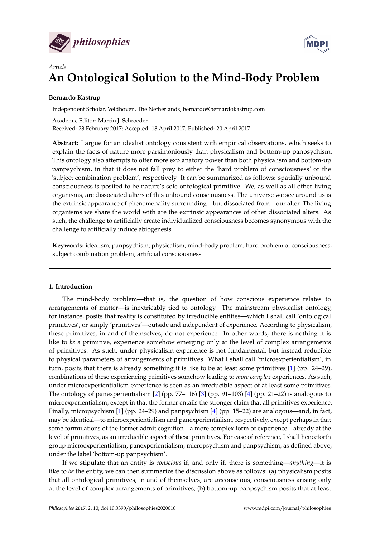



# *Article* **An Ontological Solution to the Mind-Body Problem**

# **Bernardo Kastrup**

Independent Scholar, Veldhoven, The Netherlands; bernardo@bernardokastrup.com

Academic Editor: Marcin J. Schroeder Received: 23 February 2017; Accepted: 18 April 2017; Published: 20 April 2017

**Abstract:** I argue for an idealist ontology consistent with empirical observations, which seeks to explain the facts of nature more parsimoniously than physicalism and bottom-up panpsychism. This ontology also attempts to offer more explanatory power than both physicalism and bottom-up panpsychism, in that it does not fall prey to either the 'hard problem of consciousness' or the 'subject combination problem', respectively. It can be summarized as follows: spatially unbound consciousness is posited to be nature's sole ontological primitive. We, as well as all other living organisms, are dissociated alters of this unbound consciousness. The universe we see around us is the extrinsic appearance of phenomenality surrounding—but dissociated from—our alter. The living organisms we share the world with are the extrinsic appearances of other dissociated alters. As such, the challenge to artificially create individualized consciousness becomes synonymous with the challenge to artificially induce abiogenesis.

**Keywords:** idealism; panpsychism; physicalism; mind-body problem; hard problem of consciousness; subject combination problem; artificial consciousness

# **1. Introduction**

The mind-body problem—that is, the question of how conscious experience relates to arrangements of matter—is inextricably tied to ontology. The mainstream physicalist ontology, for instance, posits that reality is constituted by irreducible entities—which I shall call 'ontological primitives', or simply 'primitives'—outside and independent of experience. According to physicalism, these primitives, in and of themselves, do not experience. In other words, there is nothing it is like to *be* a primitive, experience somehow emerging only at the level of complex arrangements of primitives. As such, under physicalism experience is not fundamental, but instead reducible to physical parameters of arrangements of primitives. What I shall call 'microexperientialism', in turn, posits that there is already something it is like to be at least some primitives [\[1\]](#page-15-0) (pp. 24–29), combinations of these experiencing primitives somehow leading to *more complex* experiences. As such, under microexperientialism experience is seen as an irreducible aspect of at least some primitives. The ontology of panexperientialism [\[2\]](#page-15-1) (pp. 77–116) [\[3\]](#page-15-2) (pp. 91–103) [\[4\]](#page-15-3) (pp. 21–22) is analogous to microexperientialism, except in that the former entails the stronger claim that all primitives experience. Finally, micropsychism [\[1\]](#page-15-0) (pp. 24–29) and panpsychism [\[4\]](#page-15-3) (pp. 15–22) are analogous—and, in fact, may be identical—to microexperientialism and panexperientialism, respectively, except perhaps in that some formulations of the former admit cognition—a more complex form of experience—already at the level of primitives, as an irreducible aspect of these primitives. For ease of reference, I shall henceforth group microexperientialism, panexperientialism, micropsychism and panpsychism, as defined above, under the label 'bottom-up panpsychism'.

If we stipulate that an entity is *conscious* if, and only if, there is something—*anything*—it is like to *be* the entity, we can then summarize the discussion above as follows: (a) physicalism posits that all ontological primitives, in and of themselves, are *un*conscious, consciousness arising only at the level of complex arrangements of primitives; (b) bottom-up panpsychism posits that at least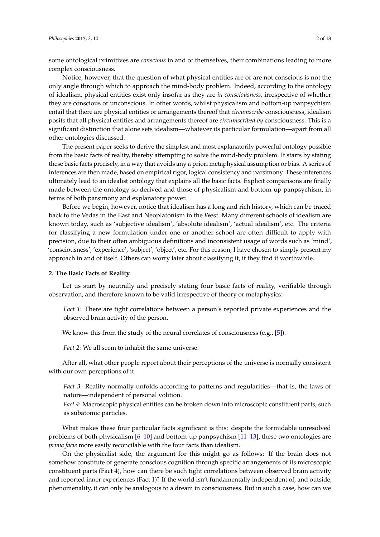some ontological primitives are *conscious* in and of themselves, their combinations leading to more complex consciousness.

Notice, however, that the question of what physical entities are or are not conscious is not the only angle through which to approach the mind-body problem. Indeed, according to the ontology of idealism, physical entities exist only insofar as they are *in consciousness*, irrespective of whether they are conscious or unconscious. In other words, whilst physicalism and bottom-up panpsychism entail that there are physical entities or arrangements thereof that *circumscribe* consciousness, idealism posits that all physical entities and arrangements thereof are *circumscribed by* consciousness. This is a significant distinction that alone sets idealism—whatever its particular formulation—apart from all other ontologies discussed.

The present paper seeks to derive the simplest and most explanatorily powerful ontology possible from the basic facts of reality, thereby attempting to solve the mind-body problem. It starts by stating these basic facts precisely, in a way that avoids any a priori metaphysical assumption or bias. A series of inferences are then made, based on empirical rigor, logical consistency and parsimony. These inferences ultimately lead to an idealist ontology that explains all the basic facts. Explicit comparisons are finally made between the ontology so derived and those of physicalism and bottom-up panpsychism, in terms of both parsimony and explanatory power.

Before we begin, however, notice that idealism has a long and rich history, which can be traced back to the Vedas in the East and Neoplatonism in the West. Many different schools of idealism are known today, such as 'subjective idealism', 'absolute idealism', 'actual idealism', etc. The criteria for classifying a new formulation under one or another school are often difficult to apply with precision, due to their often ambiguous definitions and inconsistent usage of words such as 'mind', 'consciousness', 'experience', 'subject', 'object', etc. For this reason, I have chosen to simply present my approach in and of itself. Others can worry later about classifying it, if they find it worthwhile.

#### <span id="page-1-0"></span>**2. The Basic Facts of Reality**

Let us start by neutrally and precisely stating four basic facts of reality, verifiable through observation, and therefore known to be valid irrespective of theory or metaphysics:

*Fact 1*: There are tight correlations between a person's reported private experiences and the observed brain activity of the person.

We know this from the study of the neural correlates of consciousness (e.g.,  $[5]$ ).

*Fact 2*: We all seem to inhabit the same universe.

After all, what other people report about their perceptions of the universe is normally consistent with our own perceptions of it.

*Fact 3*: Reality normally unfolds according to patterns and regularities—that is, the laws of nature—independent of personal volition.

*Fact 4*: Macroscopic physical entities can be broken down into microscopic constituent parts, such as subatomic particles.

What makes these four particular facts significant is this: despite the formidable unresolved problems of both physicalism  $[6–10]$  $[6–10]$  and bottom-up panpsychism  $[11–13]$  $[11–13]$ , these two ontologies are *prima facie* more easily reconcilable with the four facts than idealism.

On the physicalist side, the argument for this might go as follows: If the brain does not somehow constitute or generate conscious cognition through specific arrangements of its microscopic constituent parts (Fact 4), how can there be such tight correlations between observed brain activity and reported inner experiences (Fact 1)? If the world isn't fundamentally independent of, and outside, phenomenality, it can only be analogous to a dream in consciousness. But in such a case, how can we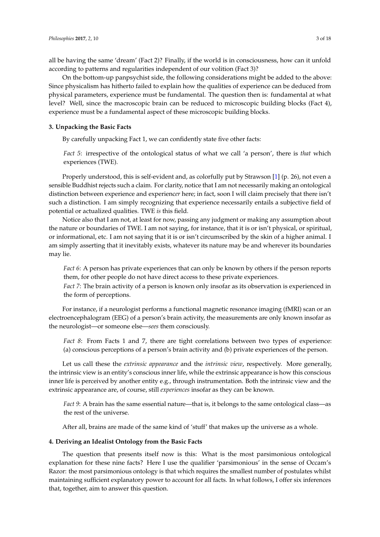all be having the same 'dream' (Fact 2)? Finally, if the world is in consciousness, how can it unfold according to patterns and regularities independent of our volition (Fact 3)?

On the bottom-up panpsychist side, the following considerations might be added to the above: Since physicalism has hitherto failed to explain how the qualities of experience can be deduced from physical parameters, experience must be fundamental. The question then is: fundamental at what level? Well, since the macroscopic brain can be reduced to microscopic building blocks (Fact 4), experience must be a fundamental aspect of these microscopic building blocks.

## **3. Unpacking the Basic Facts**

By carefully unpacking Fact 1, we can confidently state five other facts:

*Fact 5*: irrespective of the ontological status of what we call 'a person', there is *that* which experiences (TWE).

Properly understood, this is self-evident and, as colorfully put by Strawson [\[1\]](#page-15-0) (p. 26), not even a sensible Buddhist rejects such a claim. For clarity, notice that I am not necessarily making an ontological distinction between experience and experienc*er* here; in fact, soon I will claim precisely that there isn't such a distinction. I am simply recognizing that experience necessarily entails a subjective field of potential or actualized qualities. TWE *is* this field.

Notice also that I am not, at least for now, passing any judgment or making any assumption about the nature or boundaries of TWE. I am not saying, for instance, that it is or isn't physical, or spiritual, or informational, etc. I am not saying that it is or isn't circumscribed by the skin of a higher animal. I am simply asserting that it inevitably exists, whatever its nature may be and wherever its boundaries may lie.

*Fact 6*: A person has private experiences that can only be known by others if the person reports them, for other people do not have direct access to these private experiences.

*Fact 7*: The brain activity of a person is known only insofar as its observation is experienced in the form of perceptions.

For instance, if a neurologist performs a functional magnetic resonance imaging (fMRI) scan or an electroencephalogram (EEG) of a person's brain activity, the measurements are only known insofar as the neurologist—or someone else—*sees* them consciously.

*Fact 8*: From Facts 1 and 7, there are tight correlations between two types of experience: (a) conscious perceptions of a person's brain activity and (b) private experiences of the person.

Let us call these the *extrinsic appearance* and the *intrinsic view*, respectively. More generally, the intrinsic view is an entity's conscious inner life, while the extrinsic appearance is how this conscious inner life is perceived by another entity e.g., through instrumentation. Both the intrinsic view and the extrinsic appearance are, of course, still *experiences* insofar as they can be known.

*Fact 9*: A brain has the same essential nature—that is, it belongs to the same ontological class—as the rest of the universe.

After all, brains are made of the same kind of 'stuff' that makes up the universe as a whole.

## **4. Deriving an Idealist Ontology from the Basic Facts**

The question that presents itself now is this: What is the most parsimonious ontological explanation for these nine facts? Here I use the qualifier 'parsimonious' in the sense of Occam's Razor: the most parsimonious ontology is that which requires the smallest number of postulates whilst maintaining sufficient explanatory power to account for all facts. In what follows, I offer six inferences that, together, aim to answer this question.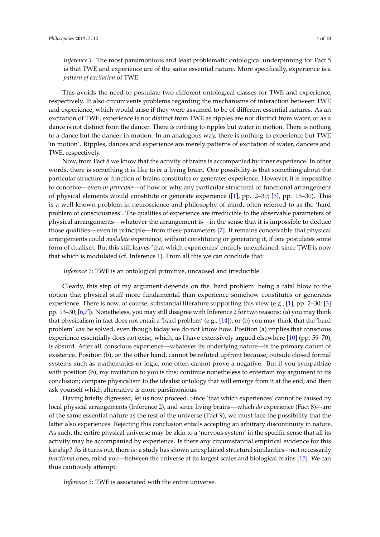*Inference 1*: The most parsimonious and least problematic ontological underpinning for Fact 5 is that TWE and experience are of the same essential nature. More specifically, experience is a *pattern of excitation* of TWE.

This avoids the need to postulate two different ontological classes for TWE and experience, respectively. It also circumvents problems regarding the mechanisms of interaction between TWE and experience, which would arise if they were assumed to be of different essential natures. As an excitation of TWE, experience is not distinct from TWE as ripples are not distinct from water, or as a dance is not distinct from the dancer. There is nothing to ripples but water in motion. There is nothing to a dance but the dancer in motion. In an analogous way, there is nothing to experience but TWE 'in motion'. Ripples, dances and experience are merely patterns of excitation of water, dancers and TWE, respectively.

Now, from Fact 8 we know that the activity of brains is accompanied by inner experience. In other words, there is something it is like to *be* a living brain. One possibility is that something about the particular structure or function of brains constitutes or generates experience. However, it is impossible to conceive—even *in principle*—of how or why any particular structural or functional arrangement of physical elements would constitute or generate experience ([\[1\]](#page-15-0), pp. 2–30; [\[3\]](#page-15-2), pp. 13–30). This is a well-known problem in neuroscience and philosophy of mind, often referred to as the 'hard problem of consciousness'. The qualities of experience are irreducible to the observable parameters of physical arrangements—whatever the arrangement is—in the sense that it is impossible to deduce those qualities—even in principle—from these parameters [\[7\]](#page-15-6). It remains conceivable that physical arrangements could *modulate* experience, without constituting or generating it, if one postulates some form of dualism. But this still leaves 'that which experiences' entirely unexplained, since TWE is now that which is modulated (cf. Inference 1). From all this we can conclude that:

*Inference 2*: TWE is an ontological primitive, uncaused and irreducible.

Clearly, this step of my argument depends on the 'hard problem' being a fatal blow to the notion that physical stuff more fundamental than experience somehow constitutes or generates experience. There is now, of course, substantial literature supporting this view (e.g., [\[1\]](#page-15-0), pp. 2–30; [\[3\]](#page-15-2) pp. 13–30; [\[6](#page-15-5)[,7\]](#page-15-6)). Nonetheless, you may still disagree with Inference 2 for two reasons: (a) you may think that physicalism in fact does not entail a 'hard problem' (e.g., [\[14\]](#page-16-3)); or (b) you may think that the 'hard problem' *can* be solved, even though today we do not know how. Position (a) implies that conscious experience essentially does not exist, which, as I have extensively argued elsewhere [\[10\]](#page-16-0) (pp. 59–70), is absurd. After all, conscious experience—whatever its underlying nature—is the primary datum of existence. Position (b), on the other hand, cannot be refuted upfront because, outside closed formal systems such as mathematics or logic, one often cannot prove a negative. But if you sympathize with position (b), my invitation to you is this: continue nonetheless to entertain my argument to its conclusion; compare physicalism to the idealist ontology that will emerge from it at the end; and then ask yourself which alternative is more parsimonious.

Having briefly digressed, let us now proceed. Since 'that which experiences' cannot be caused by local physical arrangements (Inference 2), and since living brains—which *do* experience (Fact 8)—are of the same essential nature as the rest of the universe (Fact 9), we must face the possibility that the latter also experiences. Rejecting this conclusion entails accepting an arbitrary discontinuity in nature. As such, the entire physical universe may be akin to a 'nervous system' in the specific sense that all its activity may be accompanied by experience. Is there any circumstantial empirical evidence for this kinship? As it turns out, there is: a study has shown unexplained structural similarities—not necessarily *functional* ones, mind you—between the universe at its largest scales and biological brains [\[15\]](#page-16-4). We can thus cautiously attempt:

*Inference 3*: TWE is associated with the entire universe.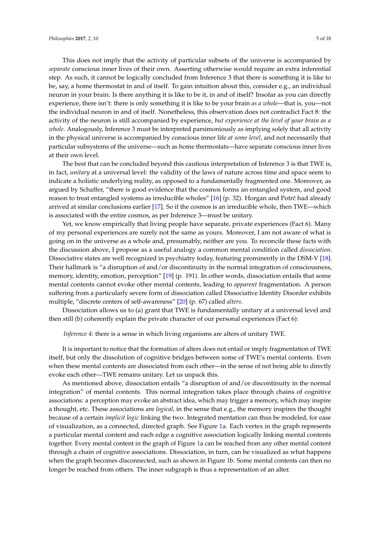This does not imply that the activity of particular subsets of the universe is accompanied by *separate* conscious inner lives of their own. Asserting otherwise would require an extra inferential step. As such, it cannot be logically concluded from Inference 3 that there is something it is like to be, say, a home thermostat in and of itself. To gain intuition about this, consider e.g., an individual neuron in your brain: Is there anything it is like to be it, in and of itself? Insofar as you can directly experience, there isn't: there is only something it is like to be your brain *as a whole*—that is, you—not the individual neuron in and of itself. Nonetheless, this observation does not contradict Fact 8: the activity of the neuron is still accompanied by experience, *but experience at the level of your brain as a whole*. Analogously, Inference 3 must be interpreted parsimoniously as implying solely that all activity in the physical universe is accompanied by conscious inner life *at some level*, and not necessarily that particular subsystems of the universe—such as home thermostats—have separate conscious inner lives at their own level.

The best that can be concluded beyond this cautious interpretation of Inference 3 is that TWE is, in fact, *unitary* at a universal level: the validity of the laws of nature across time and space seem to indicate a holistic underlying reality, as opposed to a fundamentally fragmented one. Moreover, as argued by Schaffer, "there is good evidence that the cosmos forms an entangled system, and good reason to treat entangled systems as irreducible wholes" [\[16\]](#page-16-5) (p. 32). Horgan and Potrč had already arrived at similar conclusions earlier [\[17\]](#page-16-6). So if the cosmos is an irreducible whole, then TWE—which is associated with the entire cosmos, as per Inference 3—must be unitary.

Yet, we know empirically that living people have separate, private experiences (Fact 6). Many of my personal experiences are surely not the same as yours. Moreover, I am not aware of what is going on in the universe as a whole and, presumably, neither are you. To reconcile these facts with the discussion above, I propose as a useful analogy a common mental condition called *dissociation*. Dissociative states are well recognized in psychiatry today, featuring prominently in the DSM-V [\[18\]](#page-16-7). Their hallmark is "a disruption of and/or discontinuity in the normal integration of consciousness, memory, identity, emotion, perception" [\[19\]](#page-16-8) (p. 191). In other words, dissociation entails that some mental contents cannot evoke other mental contents, leading to *apparent* fragmentation. A person suffering from a particularly severe form of dissociation called Dissociative Identity Disorder exhibits multiple, "discrete centers of self-awareness" [\[20\]](#page-16-9) (p. 67) called *alters*.

Dissociation allows us to (a) grant that TWE is fundamentally unitary at a universal level and then still (b) coherently explain the private character of our personal experiences (Fact 6):

*Inference 4*: there is a sense in which living organisms are alters of unitary TWE.

It is important to notice that the formation of alters does not entail or imply fragmentation of TWE itself, but only the dissolution of cognitive bridges between some of TWE's mental contents. Even when these mental contents are dissociated from each other—in the sense of not being able to directly evoke each other—TWE remains unitary. Let us unpack this.

As mentioned above, dissociation entails "a disruption of and/or discontinuity in the normal integration" of mental contents. This normal integration takes place through chains of cognitive associations: a perception may evoke an abstract idea, which may trigger a memory, which may inspire a thought, etc. These associations are *logical*, in the sense that e.g., the memory inspires the thought because of a certain *implicit logic* linking the two. Integrated mentation can thus be modeled, for ease of visualization, as a connected, directed graph. See Figure [1a](#page-5-0). Each vertex in the graph represents a particular mental content and each edge a cognitive association logically linking mental contents together. Every mental content in the graph of Figure [1a](#page-5-0) can be reached from any other mental content through a chain of cognitive associations. Dissociation, in turn, can be visualized as what happens when the graph becomes disconnected, such as shown in Figure [1b](#page-5-0). Some mental contents can then no longer be reached from others. The inner subgraph is thus a representation of an alter.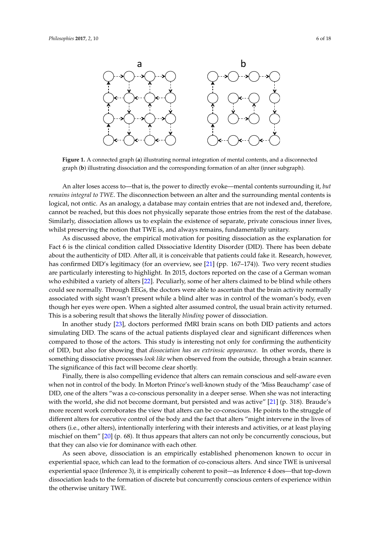<span id="page-5-0"></span>

**Figure 1.** A connected graph (**a**) illustrating normal integration of mental contents, and a **Figure 1.** A connected graph (**a**) illustrating normal integration of mental contents, and a disconnected graph (**b**) illustrating dissociation and the corresponding formation of an alter (inner subgraph).

An alter loses access to—that is, the power to directly evoke—mental contents surrounding it, An alter loses access to—that is, the power to directly evoke—mental contents surrounding it, *but but remains integral to TWE.* The disconnection between an alter and the surrounding mental contents *remains integral to TWE*. The disconnection between an alter and the surrounding mental contents is logical, not ontic. As an analogy, a database may contain entries that are not indexed and, therefore, cannot be reached, but this does not physically separate those entries from the rest of the database. Similarly, dissociation allows us to explain the existence of separate, private conscious inner lives, whilst preserving the notion that TWE is, and always remains, fundamentally unitary.

As discussed above, the empirical motivation for positing dissociation as the explanation for As discussed above, the empirical motivation for positing dissociation as the explanation for Fact 6 is the clinical condition called Dissociative Identity Disorder (DID). There has been debate Fact 6 is the clinical condition called Dissociative Identity Disorder (DID). There has been debate about the authenticity of DID. After all, it is conceivable that patients could fake it. Research, about the authenticity of DID. After all, it is conceivable that patients could fake it. Research, however, has confirmed DID's legitimacy (for an overview, see  $[21]$  (pp. 167–174)). Two very recent studies are particularly interesting to highlight. In 2015, doctors reported on the case of a German woman who exhibited a variety [of a](#page-16-11)lters [22]. Peculiarly, some of her alters claimed to be blind while others could see normally. Through EEGs, the doctors were able to ascertain that the brain activity normally associated with sight wasn't present while a blind alter was in control of the woman's body, even though her eyes were open. When a sighted alter assumed control, the usual brain activity returned. This is a sobering result that shows the literally *blinding* power of dissociation.

In another study [\[23](#page-16-12)], doctors performed fMRI brain scans on both DID patients and actors In another study [23], doctors performed fMRI brain scans on both DID patients and actors simulating DID. The scans of the actual patients displayed clear and significant differences when simulating DID. The scans of the actual patients displayed clear and significant differences when compared to those of the actors. This study is interesting not only for confirming the authenticity of DID, but also for showing that *dissociation has an extrinsic appearance*. In other words, there is something dissociative processes *look like* when observed from the outside, through a brain scanner. something dissociative processes *look like* when observed from the outside, through a brain scanner. The significance of this fact will become clear shortly. The significance of this fact will become clear shortly.

Finally, there is also compelling evidence that alters can remain conscious and self-aware even Finally, there is also compelling evidence that alters can remain conscious and self-aware even when not in control of the body. In Morton Prince's well-known study of the 'Miss Beauchamp' case of DID, one of the alters "was a co-conscious personality in a deeper sense. When she was not interacting with the world, she did not become dormant, but persisted and w[as a](#page-16-10)ctive" [21] (p. 318). Braude's more recent work corroborates the view that alters can be co-conscious. He points to the struggle of different alters for executive control of the body and the fact that alters "might intervene in the lives of others (i.e., other alters), intentionally interfering with their interests and activities, or at least playing mi[sch](#page-16-9)ief on them"  $[20]$  (p. 68). It thus appears that alters can not only be concurrently conscious, but that they can also vie for dominance with each other.

As seen above, dissociation is an empirically established phenomenon known to occur in As seen above, dissociation is an empirically established phenomenon known to occur in experiential space, which can lead to the formation of co-conscious alters. And since TWE is experiential space, which can lead to the formation of co-conscious alters. And since TWE is universal experiential space (Inference 3), it is empirically coherent to posit—as Inference 4 does—that top-down dissociation leads to the formation of discrete but concurrently conscious centers of experience within the otherwise unitary TWE.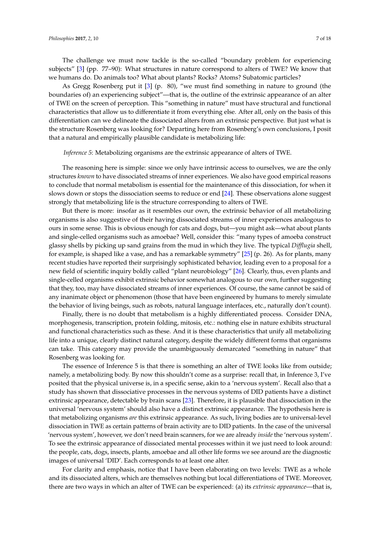The challenge we must now tackle is the so-called "boundary problem for experiencing subjects" [\[3\]](#page-15-2) (pp. 77–90): What structures in nature correspond to alters of TWE? We know that we humans do. Do animals too? What about plants? Rocks? Atoms? Subatomic particles?

As Gregg Rosenberg put it [\[3\]](#page-15-2) (p. 80), "we must find something in nature to ground (the boundaries of) an experiencing subject"—that is, the outline of the extrinsic appearance of an alter of TWE on the screen of perception. This "something in nature" must have structural and functional characteristics that allow us to differentiate it from everything else. After all, only on the basis of this differentiation can we delineate the dissociated alters from an extrinsic perspective. But just what is the structure Rosenberg was looking for? Departing here from Rosenberg's own conclusions, I posit that a natural and empirically plausible candidate is metabolizing life:

*Inference 5*: Metabolizing organisms are the extrinsic appearance of alters of TWE.

The reasoning here is simple: since we only have intrinsic access to ourselves, we are the only structures *known* to have dissociated streams of inner experiences. We also have good empirical reasons to conclude that normal metabolism is essential for the maintenance of this dissociation, for when it slows down or stops the dissociation seems to reduce or end [\[24\]](#page-16-13). These observations alone suggest strongly that metabolizing life is the structure corresponding to alters of TWE.

But there is more: insofar as it resembles our own, the extrinsic behavior of all metabolizing organisms is also suggestive of their having dissociated streams of inner experiences analogous to ours in some sense. This is obvious enough for cats and dogs, but—you might ask—what about plants and single-celled organisms such as amoebae? Well, consider this: "many types of amoeba construct glassy shells by picking up sand grains from the mud in which they live. The typical *Difflugia* shell, for example, is shaped like a vase, and has a remarkable symmetry" [\[25\]](#page-16-14) (p. 26). As for plants, many recent studies have reported their surprisingly sophisticated behavior, leading even to a proposal for a new field of scientific inquiry boldly called "plant neurobiology" [\[26\]](#page-16-15). Clearly, thus, even plants and single-celled organisms exhibit extrinsic behavior somewhat analogous to our own, further suggesting that they, too, may have dissociated streams of inner experiences. Of course, the same cannot be said of any inanimate object or phenomenon (those that have been engineered by humans to merely simulate the behavior of living beings, such as robots, natural language interfaces, etc., naturally don't count).

Finally, there is no doubt that metabolism is a highly differentiated process. Consider DNA, morphogenesis, transcription, protein folding, mitosis, etc.: nothing else in nature exhibits structural and functional characteristics such as these. And it is these characteristics that unify all metabolizing life into a unique, clearly distinct natural category, despite the widely different forms that organisms can take. This category may provide the unambiguously demarcated "something in nature" that Rosenberg was looking for.

The essence of Inference 5 is that there is something an alter of TWE looks like from outside; namely, a metabolizing body. By now this shouldn't come as a surprise: recall that, in Inference 3, I've posited that the physical universe is, in a specific sense, akin to a 'nervous system'. Recall also that a study has shown that dissociative processes in the nervous systems of DID patients have a distinct extrinsic appearance, detectable by brain scans [\[23\]](#page-16-12). Therefore, it is plausible that dissociation in the universal 'nervous system' should also have a distinct extrinsic appearance. The hypothesis here is that metabolizing organisms *are* this extrinsic appearance. As such, living bodies are to universal-level dissociation in TWE as certain patterns of brain activity are to DID patients. In the case of the universal 'nervous system', however, we don't need brain scanners, for we are already *inside* the 'nervous system'. To see the extrinsic appearance of dissociated mental processes within it we just need to look around: the people, cats, dogs, insects, plants, amoebae and all other life forms we see around are the diagnostic images of universal 'DID'. Each corresponds to at least one alter.

For clarity and emphasis, notice that I have been elaborating on two levels: TWE as a whole and its dissociated alters, which are themselves nothing but local differentiations of TWE. Moreover, there are two ways in which an alter of TWE can be experienced: (a) its *extrinsic appearance*—that is,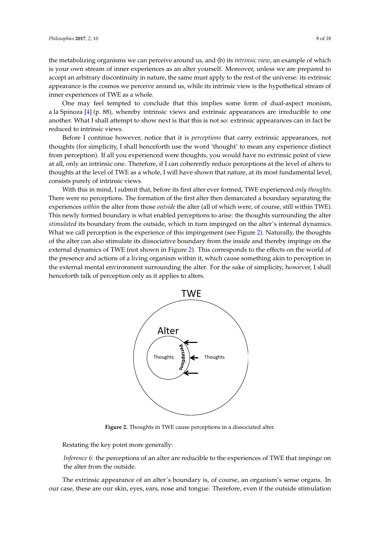the metabolizing organisms we can perceive around us, and (b) its *intrinsic view*, an example of which is your own stream of inner experiences as an alter yourself. Moreover, unless we are prepared to accept an arbitrary discontinuity in nature, the same must apply to the rest of the universe: its extrinsic appearance is the cosmos we perceive around us, while its intrinsic view is the hypothetical stream of inner experiences of TWE as a whole.

One may feel tempted to conclude that this implies some form of dual-aspect monism, a la Spinoza [\[4\]](#page-15-3) (p. 88), whereby intrinsic views and extrinsic appearances are irreducible to one another. What I shall attempt to show next is that this is not so: extrinsic appearances can in fact be reduced to intrinsic views.

Before I continue however, notice that it is *perceptions* that carry extrinsic appearances, not Before I continue however, notice that it is *perceptions* that carry extrinsic appearances, not thoughts (for simplicity, I shall henceforth use the word 'thought' to mean any experience distinct thoughts (for simplicity, I shall henceforth use the word 'thought' to mean any experience distinct from perception). If all you experienced were thoughts, you would have no extrinsic point of view from perception). If all you experienced were thoughts, you would have no extrinsic point of view at at all, only an intrinsic one. Therefore, if I can coherently reduce perceptions at the level of alters to thoughts at the level of TWE as a whole, I will have shown that nature, at its most fundamental level, thoughts at the level of TWE as a whole, I will have shown that nature, at its most fundamental level, consists purely of intrinsic views. consists purely of intrinsic views.

With this in mind, I submit that, before its first alter ever formed, TWE experienced *only thoughts*. With this in mind, I submit that, before its first alter ever formed, TWE experienced *only*  There were no perceptions. The formation of the first alter then demarcated a boundary separating the experiences within the alter from those outside the alter (all of which were, of course, still within TWE). This newly formed boundary is what enabled perceptions to arise: the thoughts surrounding the alter stimulated its boundary from the outside, which in turn impinged on the alter's internal dynamics. What we call perception is the experience of this impingement (see Figure [2\)](#page-7-0). Naturally, the thoughts of the alter can also stimulate its dissociative boundary from the inside and thereby impinge on the external dynamics of TWE (not shown in Figure [2\)](#page-7-0). This corresponds to the effects on the world of the presence and actions of a living organism within it, which cause something akin to perception in the external mental environment surrounding the alter. For the sake of simplicity, however, I shall henceforth talk of perception only as it applies to alters.

<span id="page-7-0"></span>

**Figure 2.** Thoughts in TWE cause perceptions in a dissociated alter. **Figure 2.** Thoughts in TWE cause perceptions in a dissociated alter.

Restating the key point more generally: Restating the key point more generally:

*Inference 6*: the perceptions of an alter are reducible to the experiences of TWE that impinge on *Inference 6*: the perceptions of an alter are reducible to the experiences of TWE that impinge on the alter from the outside.

The extrinsic appearance of an alter's boundary is, of course, an organism's sense organs. In our case, these are our skin, eyes, ears, nose and tongue. Therefore, even if the outside stimulation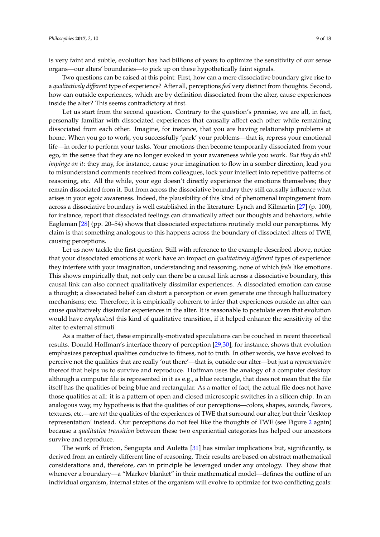is very faint and subtle, evolution has had billions of years to optimize the sensitivity of our sense organs—our alters' boundaries—to pick up on these hypothetically faint signals.

Two questions can be raised at this point: First, how can a mere dissociative boundary give rise to a *qualitatively different* type of experience? After all, perceptions *feel* very distinct from thoughts. Second, how can outside experiences, which are by definition dissociated from the alter, cause experiences inside the alter? This seems contradictory at first.

Let us start from the second question. Contrary to the question's premise, we are all, in fact, personally familiar with dissociated experiences that causally affect each other while remaining dissociated from each other. Imagine, for instance, that you are having relationship problems at home. When you go to work, you successfully 'park' your problems—that is, repress your emotional life—in order to perform your tasks. Your emotions then become temporarily dissociated from your ego, in the sense that they are no longer evoked in your awareness while you work. *But they do still impinge on it*: they may, for instance, cause your imagination to flow in a somber direction, lead you to misunderstand comments received from colleagues, lock your intellect into repetitive patterns of reasoning, etc. All the while, your ego doesn't directly experience the emotions themselves; they remain dissociated from it. But from across the dissociative boundary they still causally influence what arises in your egoic awareness. Indeed, the plausibility of this kind of phenomenal impingement from across a dissociative boundary is well established in the literature: Lynch and Kilmartin [\[27\]](#page-16-16) (p. 100), for instance, report that dissociated feelings can dramatically affect our thoughts and behaviors, while Eagleman [\[28\]](#page-16-17) (pp. 20–54) shows that dissociated expectations routinely mold our perceptions. My claim is that something analogous to this happens across the boundary of dissociated alters of TWE, causing perceptions.

Let us now tackle the first question. Still with reference to the example described above, notice that your dissociated emotions at work have an impact on *qualitatively different* types of experience: they interfere with your imagination, understanding and reasoning, none of which *feels* like emotions. This shows empirically that, not only can there be a causal link across a dissociative boundary, this causal link can also connect qualitatively dissimilar experiences. A dissociated emotion can cause a thought; a dissociated belief can distort a perception or even generate one through hallucinatory mechanisms; etc. Therefore, it is empirically coherent to infer that experiences outside an alter can cause qualitatively dissimilar experiences in the alter. It is reasonable to postulate even that evolution would have *emphasized* this kind of qualitative transition, if it helped enhance the sensitivity of the alter to external stimuli.

As a matter of fact, these empirically-motivated speculations can be couched in recent theoretical results. Donald Hoffman's interface theory of perception [\[29](#page-16-18)[,30\]](#page-16-19), for instance, shows that evolution emphasizes perceptual qualities conducive to fitness, not to truth. In other words, we have evolved to perceive not the qualities that are really 'out there'—that is, outside our alter—but just a *representation* thereof that helps us to survive and reproduce. Hoffman uses the analogy of a computer desktop: although a computer file is represented in it as e.g., a blue rectangle, that does not mean that the file itself has the qualities of being blue and rectangular. As a matter of fact, the actual file does not have those qualities at all: it is a pattern of open and closed microscopic switches in a silicon chip. In an analogous way, my hypothesis is that the qualities of our perceptions—colors, shapes, sounds, flavors, textures, etc.—are *not* the qualities of the experiences of TWE that surround our alter, but their 'desktop representation' instead. Our perceptions do not feel like the thoughts of TWE (see Figure [2](#page-7-0) again) because a *qualitative transition* between these two experiential categories has helped our ancestors survive and reproduce.

The work of Friston, Sengupta and Auletta [\[31\]](#page-16-20) has similar implications but, significantly, is derived from an entirely different line of reasoning. Their results are based on abstract mathematical considerations and, therefore, can in principle be leveraged under any ontology. They show that whenever a boundary—a "Markov blanket" in their mathematical model—defines the outline of an individual organism, internal states of the organism will evolve to optimize for two conflicting goals: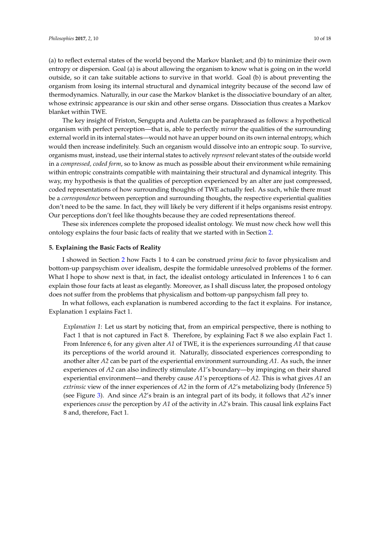(a) to reflect external states of the world beyond the Markov blanket; and (b) to minimize their own entropy or dispersion. Goal (a) is about allowing the organism to know what is going on in the world

outside, so it can take suitable actions to survive in that world. Goal (b) is about preventing the organism from losing its internal structural and dynamical integrity because of the second law of thermodynamics. Naturally, in our case the Markov blanket is the dissociative boundary of an alter, whose extrinsic appearance is our skin and other sense organs. Dissociation thus creates a Markov blanket within TWE.

The key insight of Friston, Sengupta and Auletta can be paraphrased as follows: a hypothetical organism with perfect perception—that is, able to perfectly *mirror* the qualities of the surrounding external world in its internal states—would not have an upper bound on its own internal entropy, which would then increase indefinitely. Such an organism would dissolve into an entropic soup. To survive, organisms must, instead, use their internal states to actively *represent*relevant states of the outside world in a *compressed, coded form*, so to know as much as possible about their environment while remaining within entropic constraints compatible with maintaining their structural and dynamical integrity. This way, my hypothesis is that the qualities of perception experienced by an alter are just compressed, coded representations of how surrounding thoughts of TWE actually feel. As such, while there must be a *correspondence* between perception and surrounding thoughts, the respective experiential qualities don't need to be the same. In fact, they will likely be very different if it helps organisms resist entropy. Our perceptions don't feel like thoughts because they are coded representations thereof.

These six inferences complete the proposed idealist ontology. We must now check how well this ontology explains the four basic facts of reality that we started with in Section [2.](#page-1-0)

## <span id="page-9-0"></span>**5. Explaining the Basic Facts of Reality**

I showed in Section [2](#page-1-0) how Facts 1 to 4 can be construed *prima facie* to favor physicalism and bottom-up panpsychism over idealism, despite the formidable unresolved problems of the former. What I hope to show next is that, in fact, the idealist ontology articulated in Inferences 1 to 6 can explain those four facts at least as elegantly. Moreover, as I shall discuss later, the proposed ontology does not suffer from the problems that physicalism and bottom-up panpsychism fall prey to.

In what follows, each explanation is numbered according to the fact it explains. For instance, Explanation 1 explains Fact 1.

*Explanation 1*: Let us start by noticing that, from an empirical perspective, there is nothing to Fact 1 that is not captured in Fact 8. Therefore, by explaining Fact 8 we also explain Fact 1. From Inference 6, for any given alter *A1* of TWE, it is the experiences surrounding *A1* that cause its perceptions of the world around it. Naturally, dissociated experiences corresponding to another alter *A2* can be part of the experiential environment surrounding *A1*. As such, the inner experiences of *A2* can also indirectly stimulate *A1*'s boundary—by impinging on their shared experiential environment—and thereby cause *A1*'s perceptions of *A2*. This is what gives *A1* an *extrinsic* view of the inner experiences of *A2* in the form of *A2*'s metabolizing body (Inference 5) (see Figure [3\)](#page-10-0). And since *A2*'s brain is an integral part of its body, it follows that *A2*'s inner experiences *cause* the perception by *A1* of the activity in *A2*'s brain. This causal link explains Fact 8 and, therefore, Fact 1.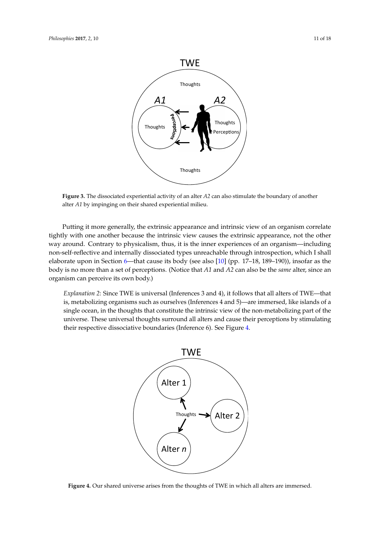<span id="page-10-0"></span>

Figure 3. The dissociated experiential activity of an alter A2 can also stimulate the boundary of another alter *A1* by impinging on their shared experiential milieu. **Figure 3.** The dissociated experiential activity of an alter *A2* can also stimulate the boundary of

Putting it more generally, the extrinsic appearance and intrinsic view of an organism correlate tightly with one another because the intrinsic view causes the extrinsic appearance, not the other way around. Contrary to physicalism, thus, it is the inner experiences of an organism-including non-self-reflective and internally dissociated types unreachable through introspection, which I shall elaborate upon in Section 6-that cause its body (see also [10] (pp. 17-18, 189-190)), insofar as the body is no more than a set of perceptions. (Notice that A1 and A2 can also be the same alter, since an organism can perceive its own body.)

Explanation 2: Since TWE is universal (Inferences 3 and 4), it follows that all alters of TWE—that is, metabolizing organisms such as ourselves (Inferences 4 and 5)—are immersed, like islands of a single ocean, in the thoughts that constitute the intrinsic view of the non-metabolizing part of the universe. These universal thoughts surround all alters and cause their perceptions by stimulating their respective dissociative boundaries (Inference 6). See Figure [4.](#page-10-1) stimulating their respective dissociative boundaries (Inference 6). See Figure 4.

<span id="page-10-1"></span>

Figure 4. Our shared universe arises from the thoughts of TWE in which all alters are immersed.  $t_{\text{max}}$  that we can explain our shared universe based on excitations of TWE alone.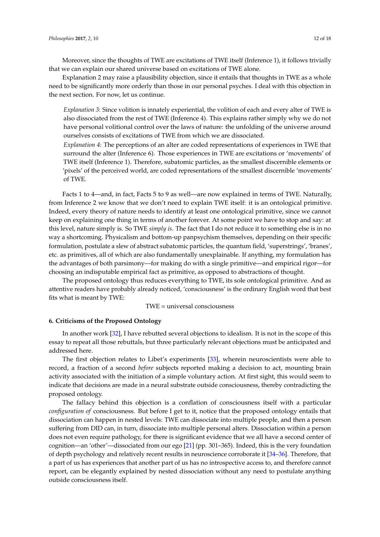Moreover, since the thoughts of TWE are excitations of TWE itself (Inference 1), it follows trivially

Explanation 2 may raise a plausibility objection, since it entails that thoughts in TWE as a whole need to be significantly more orderly than those in our personal psyches. I deal with this objection in the next section. For now, let us continue.

that we can explain our shared universe based on excitations of TWE alone.

*Explanation 3*: Since volition is innately experiential, the volition of each and every alter of TWE is also dissociated from the rest of TWE (Inference 4). This explains rather simply why we do not have personal volitional control over the laws of nature: the unfolding of the universe around ourselves consists of excitations of TWE from which we are dissociated.

*Explanation 4*: The perceptions of an alter are coded representations of experiences in TWE that surround the alter (Inference 6). Those experiences in TWE are excitations or 'movements' of TWE itself (Inference 1). Therefore, subatomic particles, as the smallest discernible elements or 'pixels' of the perceived world, are coded representations of the smallest discernible 'movements' of TWE.

Facts 1 to 4—and, in fact, Facts 5 to 9 as well—are now explained in terms of TWE. Naturally, from Inference 2 we know that we don't need to explain TWE itself: it is an ontological primitive. Indeed, every theory of nature needs to identify at least one ontological primitive, since we cannot keep on explaining one thing in terms of another forever. At some point we have to stop and say: at this level, nature simply is. So TWE *simply is*. The fact that I do not reduce it to something else is in no way a shortcoming. Physicalism and bottom-up panpsychism themselves, depending on their specific formulation, postulate a slew of abstract subatomic particles, the quantum field, 'superstrings', 'branes', etc. as primitives, all of which are also fundamentally unexplainable. If anything, my formulation has the advantages of both parsimony—for making do with a single primitive—and empirical rigor—for choosing an indisputable empirical fact as primitive, as opposed to abstractions of thought.

The proposed ontology thus reduces everything to TWE, its sole ontological primitive. And as attentive readers have probably already noticed, 'consciousness' is the ordinary English word that best fits what is meant by TWE:

TWE = universal consciousness

#### <span id="page-11-0"></span>**6. Criticisms of the Proposed Ontology**

In another work [\[32\]](#page-16-21), I have rebutted several objections to idealism. It is not in the scope of this essay to repeat all those rebuttals, but three particularly relevant objections must be anticipated and addressed here.

The first objection relates to Libet's experiments [\[33\]](#page-16-22), wherein neuroscientists were able to record, a fraction of a second *before* subjects reported making a decision to act, mounting brain activity associated with the initiation of a simple voluntary action. At first sight, this would seem to indicate that decisions are made in a neural substrate outside consciousness, thereby contradicting the proposed ontology.

The fallacy behind this objection is a conflation of consciousness itself with a particular *configuration of* consciousness. But before I get to it, notice that the proposed ontology entails that dissociation can happen in nested levels: TWE can dissociate into multiple people, and then a person suffering from DID can, in turn, dissociate into multiple personal alters. Dissociation within a person does not even require pathology, for there is significant evidence that we all have a second center of cognition—an 'other'—dissociated from our ego [\[21\]](#page-16-10) (pp. 301–365). Indeed, this is the very foundation of depth psychology and relatively recent results in neuroscience corroborate it [\[34–](#page-16-23)[36\]](#page-16-24). Therefore, that a part of us has experiences that another part of us has no introspective access to, and therefore cannot report, can be elegantly explained by nested dissociation without any need to postulate anything outside consciousness itself.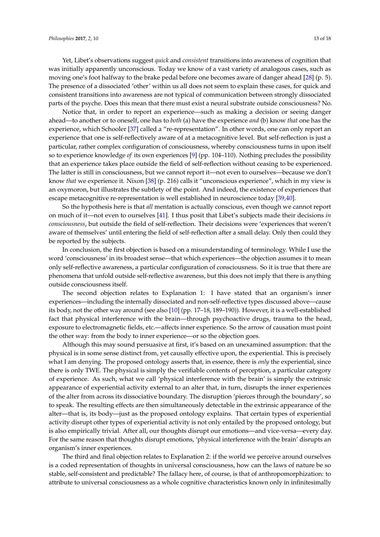Yet, Libet's observations suggest *quick* and *consistent* transitions into awareness of cognition that was initially apparently unconscious. Today we know of a vast variety of analogous cases, such as moving one's foot halfway to the brake pedal before one becomes aware of danger ahead [\[28\]](#page-16-17) (p. 5). The presence of a dissociated 'other' within us all does not seem to explain these cases, for quick and consistent transitions into awareness are not typical of communication between strongly dissociated parts of the psyche. Does this mean that there must exist a neural substrate outside consciousness? No.

Notice that, in order to report an experience—such as making a decision or seeing danger ahead—to another or to oneself, one has to *both* (a) have the experience *and* (b) know *that* one has the experience, which Schooler [\[37\]](#page-16-25) called a "re-representation". In other words, one can only report an experience that one is self-reflectively aware of at a metacognitive level. But self-reflection is just a particular, rather complex configuration of consciousness, whereby consciousness turns in upon itself so to experience knowledge *of* its own experiences [\[9\]](#page-15-7) (pp. 104–110). Nothing precludes the possibility that an experience takes place outside the field of self-reflection without ceasing to be experienced. The latter is still in consciousness, but we cannot report it—not even to ourselves—because we don't know *that* we experience it. Nixon [\[38\]](#page-16-26) (p. 216) calls it "unconscious experience", which in my view is an oxymoron, but illustrates the subtlety of the point. And indeed, the existence of experiences that escape metacognitive re-representation is well established in neuroscience today [\[39,](#page-17-0)[40\]](#page-17-1).

So the hypothesis here is that *all* mentation is actually conscious, even though we cannot report on much of it—not even to ourselves [\[41\]](#page-17-2). I thus posit that Libet's subjects made their decisions *in consciousness*, but outside the field of self-reflection. Their decisions were 'experiences that weren't aware of themselves' until entering the field of self-reflection after a small delay. Only then could they be reported by the subjects.

In conclusion, the first objection is based on a misunderstanding of terminology. While I use the word 'consciousness' in its broadest sense—that which experiences—the objection assumes it to mean only self-reflective awareness, a particular configuration of consciousness. So it is true that there are phenomena that unfold outside self-reflective awareness, but this does not imply that there is anything outside consciousness itself.

The second objection relates to Explanation 1: I have stated that an organism's inner experiences—including the internally dissociated and non-self-reflective types discussed above—cause its body, not the other way around (see also [\[10\]](#page-16-0) (pp. 17–18, 189–190)). However, it is a well-established fact that physical interference with the brain—through psychoactive drugs, trauma to the head, exposure to electromagnetic fields, etc.—affects inner experience. So the arrow of causation must point the other way: from the body to inner experience—or so the objection goes.

Although this may sound persuasive at first, it's based on an unexamined assumption: that the physical is in some sense distinct from, yet causally effective upon, the experiential. This is precisely what I am denying. The proposed ontology asserts that, in essence, there is *only* the experiential, since there is only TWE. The physical is simply the verifiable contents of perception, a particular category of experience. As such, what we call 'physical interference with the brain' is simply the extrinsic appearance of experiential activity external to an alter that, in turn, disrupts the inner experiences of the alter from across its dissociative boundary. The disruption 'pierces through the boundary', so to speak. The resulting effects are then simultaneously detectable in the extrinsic appearance of the alter—that is, its body—just as the proposed ontology explains. That certain types of experiential activity disrupt other types of experiential activity is not only entailed by the proposed ontology, but is also empirically trivial. After all, our thoughts disrupt our emotions—and vice-versa—every day. For the same reason that thoughts disrupt emotions, 'physical interference with the brain' disrupts an organism's inner experiences.

The third and final objection relates to Explanation 2: if the world we perceive around ourselves is a coded representation of thoughts in universal consciousness, how can the laws of nature be so stable, self-consistent and predictable? The fallacy here, of course, is that of anthropomorphization: to attribute to universal consciousness as a whole cognitive characteristics known only in infinitesimally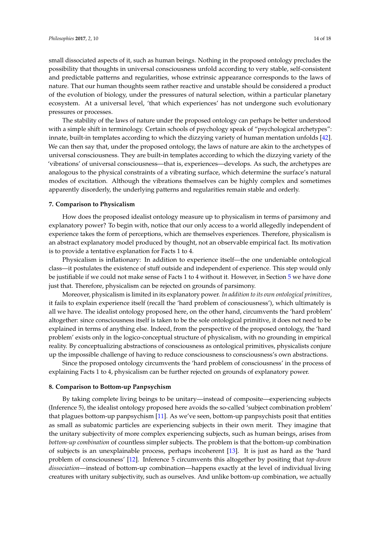small dissociated aspects of it, such as human beings. Nothing in the proposed ontology precludes the possibility that thoughts in universal consciousness unfold according to very stable, self-consistent and predictable patterns and regularities, whose extrinsic appearance corresponds to the laws of nature. That our human thoughts seem rather reactive and unstable should be considered a product of the evolution of biology, under the pressures of natural selection, within a particular planetary ecosystem. At a universal level, 'that which experiences' has not undergone such evolutionary pressures or processes.

The stability of the laws of nature under the proposed ontology can perhaps be better understood with a simple shift in terminology. Certain schools of psychology speak of "psychological archetypes": innate, built-in templates according to which the dizzying variety of human mentation unfolds [\[42\]](#page-17-3). We can then say that, under the proposed ontology, the laws of nature are akin to the archetypes of universal consciousness. They are built-in templates according to which the dizzying variety of the 'vibrations' of universal consciousness—that is, experiences—develops. As such, the archetypes are analogous to the physical constraints of a vibrating surface, which determine the surface's natural modes of excitation. Although the vibrations themselves can be highly complex and sometimes apparently disorderly, the underlying patterns and regularities remain stable and orderly.

## **7. Comparison to Physicalism**

How does the proposed idealist ontology measure up to physicalism in terms of parsimony and explanatory power? To begin with, notice that our only access to a world allegedly independent of experience takes the form of perceptions, which are themselves experiences. Therefore, physicalism is an abstract explanatory model produced by thought, not an observable empirical fact. Its motivation is to provide a tentative explanation for Facts 1 to 4.

Physicalism is inflationary: In addition to experience itself—the one undeniable ontological class—it postulates the existence of stuff outside and independent of experience. This step would only be justifiable if we could not make sense of Facts 1 to 4 without it. However, in Section [5](#page-9-0) we have done just that. Therefore, physicalism can be rejected on grounds of parsimony.

Moreover, physicalism is limited in its explanatory power. *In addition to its own ontological primitives*, it fails to explain experience itself (recall the 'hard problem of consciousness'), which ultimately is all we have. The idealist ontology proposed here, on the other hand, circumvents the 'hard problem' altogether: since consciousness itself is taken to be the sole ontological primitive, it does not need to be explained in terms of anything else. Indeed, from the perspective of the proposed ontology, the 'hard problem' exists only in the logico-conceptual structure of physicalism, with no grounding in empirical reality. By conceptualizing abstractions of consciousness as ontological primitives, physicalists conjure up the impossible challenge of having to reduce consciousness to consciousness's own abstractions.

Since the proposed ontology circumvents the 'hard problem of consciousness' in the process of explaining Facts 1 to 4, physicalism can be further rejected on grounds of explanatory power.

## **8. Comparison to Bottom-up Panpsychism**

By taking complete living beings to be unitary—instead of composite—experiencing subjects (Inference 5), the idealist ontology proposed here avoids the so-called 'subject combination problem' that plagues bottom-up panpsychism [\[11\]](#page-16-1). As we've seen, bottom-up panpsychists posit that entities as small as subatomic particles are experiencing subjects in their own merit. They imagine that the unitary subjectivity of more complex experiencing subjects, such as human beings, arises from *bottom-up combination* of countless simpler subjects. The problem is that the bottom-up combination of subjects is an unexplainable process, perhaps incoherent [\[13\]](#page-16-2). It is just as hard as the 'hard problem of consciousness' [\[12\]](#page-16-27). Inference 5 circumvents this altogether by positing that *top-down dissociation*—instead of bottom-up combination—happens exactly at the level of individual living creatures with unitary subjectivity, such as ourselves. And unlike bottom-up combination, we actually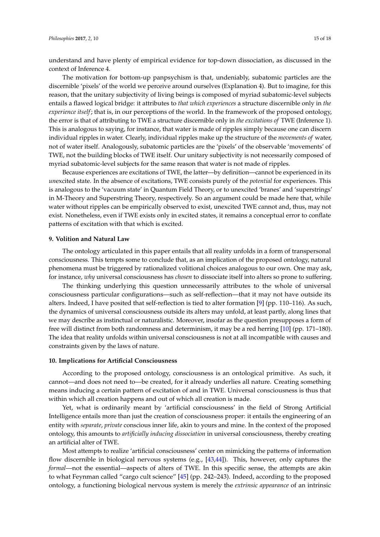understand and have plenty of empirical evidence for top-down dissociation, as discussed in the context of Inference 4.

The motivation for bottom-up panpsychism is that, undeniably, subatomic particles are the discernible 'pixels' of the world we perceive around ourselves (Explanation 4). But to imagine, for this reason, that the unitary subjectivity of living beings is composed of myriad subatomic-level subjects entails a flawed logical bridge: it attributes to *that which experiences* a structure discernible only in *the experience itself*; that is, in our perceptions of the world. In the framework of the proposed ontology, the error is that of attributing to TWE a structure discernible only in *the excitations of* TWE (Inference 1). This is analogous to saying, for instance, that water is made of ripples simply because one can discern individual ripples in water. Clearly, individual ripples make up the structure of the *movements of* water, not of water itself. Analogously, subatomic particles are the 'pixels' of the observable 'movements' of TWE, not the building blocks of TWE itself. Our unitary subjectivity is not necessarily composed of myriad subatomic-level subjects for the same reason that water is not made of ripples.

Because experiences are excitations of TWE, the latter—by definition—cannot be experienced in its *un*excited state. In the absence of excitations, TWE consists purely of the *potential* for experiences. This is analogous to the 'vacuum state' in Quantum Field Theory, or to unexcited 'branes' and 'superstrings' in M-Theory and Superstring Theory, respectively. So an argument could be made here that, while water without ripples can be empirically observed to exist, unexcited TWE cannot and, thus, may not exist. Nonetheless, even if TWE exists only in excited states, it remains a conceptual error to conflate patterns of excitation with that which is excited.

#### **9. Volition and Natural Law**

The ontology articulated in this paper entails that all reality unfolds in a form of transpersonal consciousness. This tempts some to conclude that, as an implication of the proposed ontology, natural phenomena must be triggered by rationalized volitional choices analogous to our own. One may ask, for instance, *why* universal consciousness has *chosen* to dissociate itself into alters so prone to suffering.

The thinking underlying this question unnecessarily attributes to the whole of universal consciousness particular configurations—such as self-reflection—that it may not have outside its alters. Indeed, I have posited that self-reflection is tied to alter formation [\[9\]](#page-15-7) (pp. 110–116). As such, the dynamics of universal consciousness outside its alters may unfold, at least partly, along lines that we may describe as instinctual or naturalistic. Moreover, insofar as the question presupposes a form of free will distinct from both randomness and determinism, it may be a red herring [\[10\]](#page-16-0) (pp. 171–180). The idea that reality unfolds within universal consciousness is not at all incompatible with causes and constraints given by the laws of nature.

#### **10. Implications for Artificial Consciousness**

According to the proposed ontology, consciousness is an ontological primitive. As such, it cannot—and does not need to—be created, for it already underlies all nature. Creating something means inducing a certain pattern of excitation of and in TWE. Universal consciousness is thus that within which all creation happens and out of which all creation is made.

Yet, what is ordinarily meant by 'artificial consciousness' in the field of Strong Artificial Intelligence entails more than just the creation of consciousness proper: it entails the engineering of an entity with *separate*, *private* conscious inner life, akin to yours and mine. In the context of the proposed ontology, this amounts to *artificially inducing dissociation* in universal consciousness, thereby creating an artificial alter of TWE.

Most attempts to realize 'artificial consciousness' center on mimicking the patterns of information flow discernible in biological nervous systems (e.g., [\[43](#page-17-4)[,44\]](#page-17-5)). This, however, only captures the *formal*—not the essential—aspects of alters of TWE. In this specific sense, the attempts are akin to what Feynman called "cargo cult science" [\[45\]](#page-17-6) (pp. 242–243). Indeed, according to the proposed ontology, a functioning biological nervous system is merely the *extrinsic appearance* of an intrinsic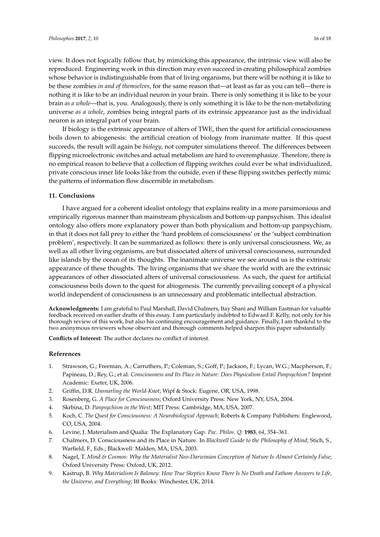view. It does not logically follow that, by mimicking this appearance, the intrinsic view will also be reproduced. Engineering work in this direction may even succeed in creating philosophical zombies whose behavior is indistinguishable from that of living organisms, but there will be nothing it is like to be these zombies *in and of themselves*, for the same reason that—at least as far as you can tell—there is nothing it is like to be an individual neuron in your brain. There is only something it is like to be your brain *as a whole*—that is, you. Analogously, there is only something it is like to be the non-metabolizing universe *as a whole*, zombies being integral parts of its extrinsic appearance just as the individual neuron is an integral part of your brain.

If biology is the extrinsic appearance of alters of TWE, then the quest for artificial consciousness boils down to abiogenesis: the artificial creation of biology from inanimate matter. If this quest succeeds, the result will again be *biology*, not computer simulations thereof. The differences between flipping microelectronic switches and actual metabolism are hard to overemphasize. Therefore, there is no empirical reason to believe that a collection of flipping switches could ever be what individualized, private conscious inner life looks like from the outside, even if these flipping switches perfectly mimic the patterns of information flow discernible in metabolism.

#### **11. Conclusions**

I have argued for a coherent idealist ontology that explains reality in a more parsimonious and empirically rigorous manner than mainstream physicalism and bottom-up panpsychism. This idealist ontology also offers more explanatory power than both physicalism and bottom-up panpsychism, in that it does not fall prey to either the 'hard problem of consciousness' or the 'subject combination problem', respectively. It can be summarized as follows: there is only universal consciousness. We, as well as all other living organisms, are but dissociated alters of universal consciousness, surrounded like islands by the ocean of its thoughts. The inanimate universe we see around us is the extrinsic appearance of these thoughts. The living organisms that we share the world with are the extrinsic appearances of other dissociated alters of universal consciousness. As such, the quest for artificial consciousness boils down to the quest for abiogenesis. The currently prevailing concept of a physical world independent of consciousness is an unnecessary and problematic intellectual abstraction.

**Acknowledgments:** I am grateful to Paul Marshall, David Chalmers, Itay Shani and William Eastman for valuable feedback received on earlier drafts of this essay. I am particularly indebted to Edward F. Kelly, not only for his thorough review of this work, but also his continuing encouragement and guidance. Finally, I am thankful to the two anonymous reviewers whose observant and thorough comments helped sharpen this paper substantially.

**Conflicts of Interest:** The author declares no conflict of interest.

### **References**

- <span id="page-15-0"></span>1. Strawson, G.; Freeman, A.; Carruthers, P.; Coleman, S.; Goff, P.; Jackson, F.; Lycan, W.G.; Macpherson, F.; Papineau, D.; Rey, G.; et al. *Consciousness and Its Place in Nature: Does Physicalism Entail Panpsychism?* Imprint Academic: Exeter, UK, 2006.
- <span id="page-15-1"></span>2. Griffin, D.R. *Unsnarling the World-Knot*; Wipf & Stock: Eugene, OR, USA, 1998.
- <span id="page-15-2"></span>3. Rosenberg, G. *A Place for Consciousness*; Oxford University Press: New York, NY, USA, 2004.
- <span id="page-15-3"></span>4. Skrbina, D. *Panpsychism in the West*; MIT Press: Cambridge, MA, USA, 2007.
- <span id="page-15-4"></span>5. Koch, C. *The Quest for Consciousness: A Neurobiological Approach*; Roberts & Company Publishers: Englewood, CO, USA, 2004.
- <span id="page-15-5"></span>6. Levine, J. Materialism and Qualia: The Explanatory Gap. *Pac. Philos. Q.* **1983**, *64*, 354–361.
- <span id="page-15-6"></span>7. Chalmers, D. Consciousness and its Place in Nature. In *Blackwell Guide to the Philosophy of Mind*; Stich, S., Warfield, F., Eds.; Blackwell: Malden, MA, USA, 2003.
- 8. Nagel, T. *Mind & Cosmos: Why the Materialist Neo-Darwinian Conception of Nature Is Almost Certainly False*; Oxford University Press: Oxford, UK, 2012.
- <span id="page-15-7"></span>9. Kastrup, B. *Why Materialism Is Baloney: How True Skeptics Know There Is No Death and Fathom Answers to Life, the Universe, and Everything*; Iff Books: Winchester, UK, 2014.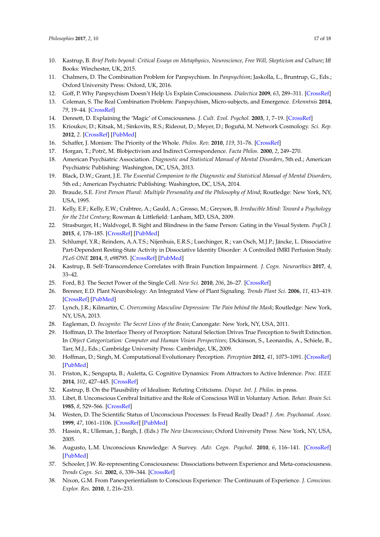- <span id="page-16-0"></span>10. Kastrup, B. *Brief Peeks beyond: Critical Essays on Metaphysics, Neuroscience, Free Will, Skepticism and Culture*; Iff Books: Winchester, UK, 2015.
- <span id="page-16-1"></span>11. Chalmers, D. The Combination Problem for Panpsychism. In *Panpsychism*; Jaskolla, L., Bruntrup, G., Eds.; Oxford University Press: Oxford, UK, 2016.
- <span id="page-16-27"></span>12. Goff, P. Why Panpsychism Doesn't Help Us Explain Consciousness. *Dialectica* **2009**, *63*, 289–311. [\[CrossRef\]](http://dx.doi.org/10.1111/j.1746-8361.2009.01196.x)
- <span id="page-16-2"></span>13. Coleman, S. The Real Combination Problem: Panpsychism, Micro-subjects, and Emergence. *Erkenntnis* **2014**, *79*, 19–44. [\[CrossRef\]](http://dx.doi.org/10.1007/s10670-013-9431-x)
- <span id="page-16-3"></span>14. Dennett, D. Explaining the 'Magic' of Consciousness. *J. Cult. Evol. Psychol.* **2003**, *1*, 7–19. [\[CrossRef\]](http://dx.doi.org/10.1556/JCEP.1.2003.1.2)
- <span id="page-16-4"></span>15. Krioukov, D.; Kitsak, M.; Sinkovits, R.S.; Rideout, D.; Meyer, D.; Boguñá, M. Network Cosmology. *Sci. Rep.* **2012**, *2*. [\[CrossRef\]](http://dx.doi.org/10.1038/srep00793) [\[PubMed\]](http://www.ncbi.nlm.nih.gov/pubmed/23162688)
- <span id="page-16-5"></span>16. Schaffer, J. Monism: The Priority of the Whole. *Philos. Rev.* **2010**, *119*, 31–76. [\[CrossRef\]](http://dx.doi.org/10.1215/00318108-2009-025)
- <span id="page-16-6"></span>17. Horgan, T.; Potrˇc, M. Blobjectivism and Indirect Correspondence. *Facta Philos.* **2000**, *2*, 249–270.
- <span id="page-16-7"></span>18. American Psychiatric Association. *Diagnostic and Statistical Manual of Mental Disorders*, 5th ed.; American Psychiatric Publishing: Washington, DC, USA, 2013.
- <span id="page-16-8"></span>19. Black, D.W.; Grant, J.E. *The Essential Companion to the Diagnostic and Statistical Manual of Mental Disorders*, 5th ed.; American Psychiatric Publishing: Washington, DC, USA, 2014.
- <span id="page-16-9"></span>20. Braude, S.E. *First Person Plural: Multiple Personality and the Philosophy of Mind*; Routledge: New York, NY, USA, 1995.
- <span id="page-16-10"></span>21. Kelly, E.F.; Kelly, E.W.; Crabtree, A.; Gauld, A.; Grosso, M.; Greyson, B. *Irreducible Mind: Toward a Psychology for the 21st Century*; Rowman & Littlefield: Lanham, MD, USA, 2009.
- <span id="page-16-11"></span>22. Strasburger, H.; Waldvogel, B. Sight and Blindness in the Same Person: Gating in the Visual System. *PsyCh J.* **2015**, *4*, 178–185. [\[CrossRef\]](http://dx.doi.org/10.1002/pchj.109) [\[PubMed\]](http://www.ncbi.nlm.nih.gov/pubmed/26468893)
- <span id="page-16-12"></span>23. Schlumpf, Y.R.; Reinders, A.A.T.S.; Nijenhuis, E.R.S.; Luechinger, R.; van Osch, M.J.P.; Jäncke, L. Dissociative Part-Dependent Resting-State Activity in Dissociative Identity Disorder: A Controlled fMRI Perfusion Study. *PLoS ONE* **2014**, *9*, e98795. [\[CrossRef\]](http://dx.doi.org/10.1371/journal.pone.0098795) [\[PubMed\]](http://www.ncbi.nlm.nih.gov/pubmed/24922512)
- <span id="page-16-13"></span>24. Kastrup, B. Self-Transcendence Correlates with Brain Function Impairment. *J. Cogn. Neuroethics* **2017**, *4*, 33–42.
- <span id="page-16-14"></span>25. Ford, B.J. The Secret Power of the Single Cell. *New Sci.* **2010**, *206*, 26–27. [\[CrossRef\]](http://dx.doi.org/10.1016/S0262-4079(10)61011-1)
- <span id="page-16-15"></span>26. Brenner, E.D. Plant Neurobiology: An Integrated View of Plant Signaling. *Trends Plant Sci.* **2006**, *11*, 413–419. [\[CrossRef\]](http://dx.doi.org/10.1016/j.tplants.2006.06.009) [\[PubMed\]](http://www.ncbi.nlm.nih.gov/pubmed/16843034)
- <span id="page-16-16"></span>27. Lynch, J.R.; Kilmartin, C. *Overcoming Masculine Depression: The Pain behind the Mask*; Routledge: New York, NY, USA, 2013.
- <span id="page-16-17"></span>28. Eagleman, D. *Incognito: The Secret Lives of the Brain*; Canongate: New York, NY, USA, 2011.
- <span id="page-16-18"></span>29. Hoffman, D. The Interface Theory of Perception: Natural Selection Drives True Perception to Swift Extinction. In *Object Categorization: Computer and Human Vision Perspectives*; Dickinson, S., Leonardis, A., Schiele, B., Tarr, M.J., Eds.; Cambridge University Press: Cambridge, UK, 2009.
- <span id="page-16-19"></span>30. Hoffman, D.; Singh, M. Computational Evolutionary Perception. *Perception* **2012**, *41*, 1073–1091. [\[CrossRef\]](http://dx.doi.org/10.1068/p7275) [\[PubMed\]](http://www.ncbi.nlm.nih.gov/pubmed/23409373)
- <span id="page-16-20"></span>31. Friston, K.; Sengupta, B.; Auletta, G. Cognitive Dynamics: From Attractors to Active Inference. *Proc. IEEE* **2014**, *102*, 427–445. [\[CrossRef\]](http://dx.doi.org/10.1109/JPROC.2014.2306251)
- <span id="page-16-21"></span>32. Kastrup, B. On the Plausibility of Idealism: Refuting Criticisms. *Disput. Int. J. Philos.* in press.
- <span id="page-16-22"></span>33. Libet, B. Unconscious Cerebral Initiative and the Role of Conscious Will in Voluntary Action. *Behav. Brain Sci.* **1985**, *8*, 529–566. [\[CrossRef\]](http://dx.doi.org/10.1017/S0140525X00044903)
- <span id="page-16-23"></span>34. Westen, D. The Scientific Status of Unconscious Processes: Is Freud Really Dead? *J. Am. Psychoanal. Assoc.* **1999**, *47*, 1061–1106. [\[CrossRef\]](http://dx.doi.org/10.1177/000306519904700404) [\[PubMed\]](http://www.ncbi.nlm.nih.gov/pubmed/10650551)
- 35. Hassin, R.; Ulleman, J.; Bargh, J. (Eds.) *The New Unconscious*; Oxford University Press: New York, NY, USA, 2005.
- <span id="page-16-24"></span>36. Augusto, L.M. Unconscious Knowledge: A Survey. *Adv. Cogn. Psychol.* **2010**, *6*, 116–141. [\[CrossRef\]](http://dx.doi.org/10.2478/v10053-008-0081-5) [\[PubMed\]](http://www.ncbi.nlm.nih.gov/pubmed/21814538)
- <span id="page-16-25"></span>37. Schooler, J.W. Re-representing Consciousness: Dissociations between Experience and Meta-consciousness. *Trends Cogn. Sci.* **2002**, *6*, 339–344. [\[CrossRef\]](http://dx.doi.org/10.1016/S1364-6613(02)01949-6)
- <span id="page-16-26"></span>38. Nixon, G.M. From Panexperientialism to Conscious Experience: The Continuum of Experience. *J. Conscious. Explor. Res.* **2010**, *1*, 216–233.